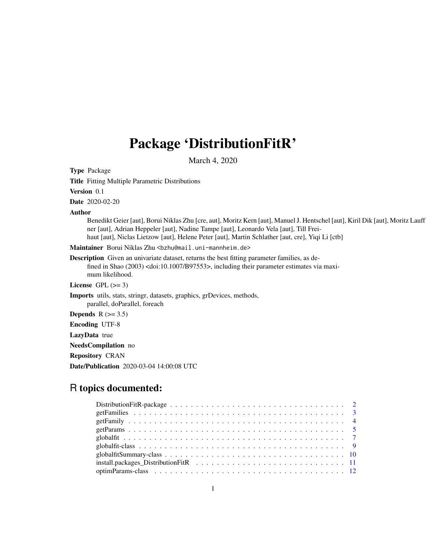# Package 'DistributionFitR'

March 4, 2020

<span id="page-0-0"></span>Type Package

Title Fitting Multiple Parametric Distributions

Version 0.1

Date 2020-02-20

# Author

Benedikt Geier [aut], Borui Niklas Zhu [cre, aut], Moritz Kern [aut], Manuel J. Hentschel [aut], Kiril Dik [aut], Moritz Lauff ner [aut], Adrian Heppeler [aut], Nadine Tampe [aut], Leonardo Vela [aut], Till Freihaut [aut], Niclas Lietzow [aut], Helene Peter [aut], Martin Schlather [aut, cre], Yiqi Li [ctb]

Maintainer Borui Niklas Zhu <br/>bzhu@mail.uni-mannheim.de>

Description Given an univariate dataset, returns the best fitting parameter families, as defined in Shao (2003) <doi:10.1007/B97553>, including their parameter estimates via maximum likelihood.

License GPL  $(>= 3)$ 

Imports utils, stats, stringr, datasets, graphics, grDevices, methods, parallel, doParallel, foreach

Depends  $R$  ( $>= 3.5$ )

Encoding UTF-8

LazyData true

NeedsCompilation no

Repository CRAN

Date/Publication 2020-03-04 14:00:08 UTC

# R topics documented: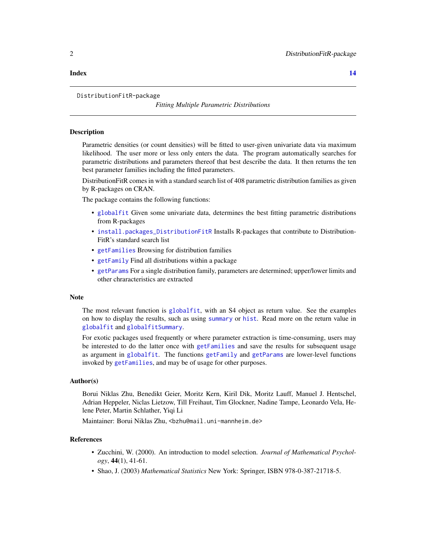#### <span id="page-1-0"></span>**Index** 2008 **[14](#page-13-0)**

# DistributionFitR-package

*Fitting Multiple Parametric Distributions*

#### **Description**

Parametric densities (or count densities) will be fitted to user-given univariate data via maximum likelihood. The user more or less only enters the data. The program automatically searches for parametric distributions and parameters thereof that best describe the data. It then returns the ten best parameter families including the fitted parameters.

DistributionFitR comes in with a standard search list of 408 parametric distribution families as given by R-packages on CRAN.

The package contains the following functions:

- [globalfit](#page-6-1) Given some univariate data, determines the best fitting parametric distributions from R-packages
- [install.packages\\_DistributionFitR](#page-10-1) Installs R-packages that contribute to Distribution-FitR's standard search list
- [getFamilies](#page-2-1) Browsing for distribution families
- [getFamily](#page-3-1) Find all distributions within a package
- [getParams](#page-4-1) For a single distribution family, parameters are determined; upper/lower limits and other chraracteristics are extracted

#### **Note**

The most relevant function is [globalfit](#page-6-1), with an S4 object as return value. See the examples on how to display the results, such as using [summary](#page-0-0) or [hist](#page-0-0). Read more on the return value in [globalfit](#page-8-1) and [globalfitSummary](#page-9-1).

For exotic packages used frequently or where parameter extraction is time-consuming, users may be interested to do the latter once with [getFamilies](#page-2-1) and save the results for subsequent usage as argument in [globalfit](#page-6-1). The functions [getFamily](#page-3-1) and [getParams](#page-4-1) are lower-level functions invoked by [getFamilies](#page-2-1), and may be of usage for other purposes.

# Author(s)

Borui Niklas Zhu, Benedikt Geier, Moritz Kern, Kiril Dik, Moritz Lauff, Manuel J. Hentschel, Adrian Heppeler, Niclas Lietzow, Till Freihaut, Tim Glockner, Nadine Tampe, Leonardo Vela, Helene Peter, Martin Schlather, Yiqi Li

Maintainer: Borui Niklas Zhu, <bzhu@mail.uni-mannheim.de>

#### References

- Zucchini, W. (2000). An introduction to model selection. *Journal of Mathematical Psychology*, 44(1), 41-61.
- Shao, J. (2003) *Mathematical Statistics* New York: Springer, ISBN 978-0-387-21718-5.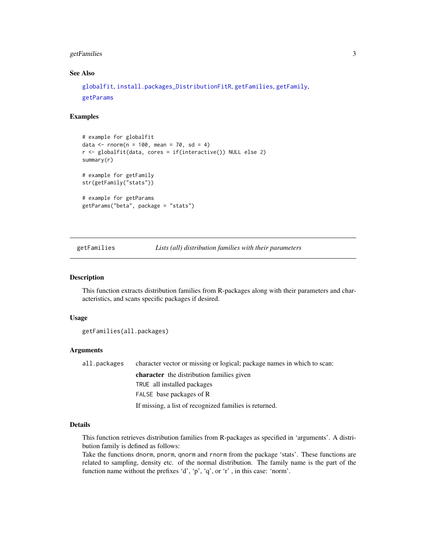# <span id="page-2-0"></span>getFamilies 3

# See Also

```
globalfit, install.packages_DistributionFitR, getFamilies, getFamily,
getParams
```
# Examples

```
# example for globalfit
data \le rnorm(n = 100, mean = 70, sd = 4)
r <- globalfit(data, cores = if(interactive()) NULL else 2)
summary(r)
# example for getFamily
str(getFamily("stats"))
# example for getParams
getParams("beta", package = "stats")
```
# <span id="page-2-1"></span>getFamilies *Lists (all) distribution families with their parameters*

#### Description

This function extracts distribution families from R-packages along with their parameters and characteristics, and scans specific packages if desired.

#### Usage

```
getFamilies(all.packages)
```
#### Arguments

all.packages character vector or missing or logical; package names in which to scan: character the distribution families given TRUE all installed packages FALSE base packages of R If missing, a list of recognized families is returned.

# Details

This function retrieves distribution families from R-packages as specified in 'arguments'. A distribution family is defined as follows:

Take the functions dnorm, pnorm, qnorm and rnorm from the package 'stats'. These functions are related to sampling, density etc. of the normal distribution. The family name is the part of the function name without the prefixes 'd', 'p', 'q', or 'r' , in this case: 'norm'.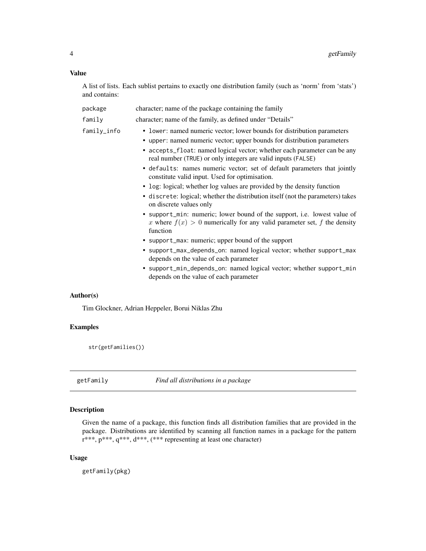# <span id="page-3-0"></span>Value

A list of lists. Each sublist pertains to exactly one distribution family (such as 'norm' from 'stats') and contains:

| package     | character; name of the package containing the family                                                                                                                                                                                                                                                                                                                                                                                                                                                                                                                                       |
|-------------|--------------------------------------------------------------------------------------------------------------------------------------------------------------------------------------------------------------------------------------------------------------------------------------------------------------------------------------------------------------------------------------------------------------------------------------------------------------------------------------------------------------------------------------------------------------------------------------------|
| family      | character; name of the family, as defined under "Details"                                                                                                                                                                                                                                                                                                                                                                                                                                                                                                                                  |
| family_info | • lower: named numeric vector; lower bounds for distribution parameters<br>• upper: named numeric vector; upper bounds for distribution parameters<br>• accepts_float: named logical vector; whether each parameter can be any<br>real number (TRUE) or only integers are valid inputs (FALSE)<br>• defaults: names numeric vector; set of default parameters that jointly<br>constitute valid input. Used for optimisation.<br>• log: logical; whether log values are provided by the density function<br>• discrete: logical; whether the distribution itself (not the parameters) takes |
|             | on discrete values only<br>• support_min: numeric; lower bound of the support, i.e. lowest value of<br>x where $f(x) > 0$ numerically for any valid parameter set, f the density<br>function<br>• support_max: numeric; upper bound of the support<br>• support_max_depends_on: named logical vector; whether support_max                                                                                                                                                                                                                                                                  |
|             | depends on the value of each parameter<br>• support_min_depends_on: named logical vector; whether support_min<br>depends on the value of each parameter                                                                                                                                                                                                                                                                                                                                                                                                                                    |
| Author(s)   |                                                                                                                                                                                                                                                                                                                                                                                                                                                                                                                                                                                            |
|             | Tim Glockner, Adrian Heppeler, Borui Niklas Zhu                                                                                                                                                                                                                                                                                                                                                                                                                                                                                                                                            |

# Examples

str(getFamilies())

<span id="page-3-1"></span>getFamily *Find all distributions in a package*

# Description

Given the name of a package, this function finds all distribution families that are provided in the package. Distributions are identified by scanning all function names in a package for the pattern r\*\*\*, p\*\*\*, q\*\*\*, d\*\*\*, (\*\*\* representing at least one character)

# Usage

getFamily(pkg)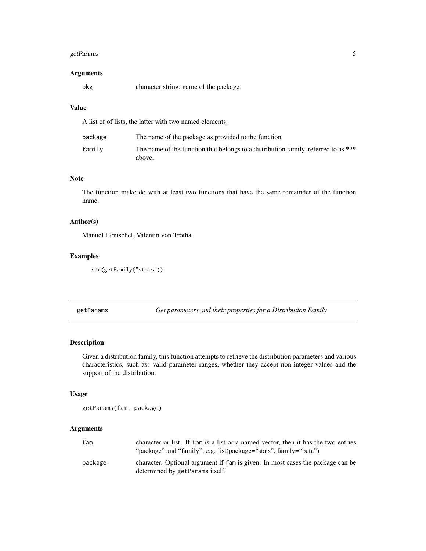# <span id="page-4-0"></span>getParams 5

# Arguments

pkg character string; name of the package

# Value

A list of of lists, the latter with two named elements:

| package | The name of the package as provided to the function                                          |
|---------|----------------------------------------------------------------------------------------------|
| family  | The name of the function that belongs to a distribution family, referred to as ***<br>above. |

# Note

The function make do with at least two functions that have the same remainder of the function name.

# Author(s)

Manuel Hentschel, Valentin von Trotha

# Examples

```
str(getFamily("stats"))
```
<span id="page-4-1"></span>getParams *Get parameters and their properties for a Distribution Family*

# Description

Given a distribution family, this function attempts to retrieve the distribution parameters and various characteristics, such as: valid parameter ranges, whether they accept non-integer values and the support of the distribution.

# Usage

getParams(fam, package)

# Arguments

| fam     | character or list. If fam is a list or a named vector, then it has the two entries<br>"package" and "family", e.g. list(package="stats", family="beta") |
|---------|---------------------------------------------------------------------------------------------------------------------------------------------------------|
| package | character. Optional argument if fam is given. In most cases the package can be<br>determined by getParams itself.                                       |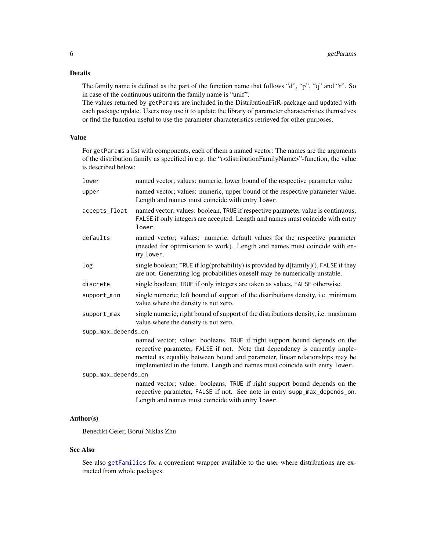# <span id="page-5-0"></span>Details

The family name is defined as the part of the function name that follows "d", "p", "q" and "r". So in case of the continuous uniform the family name is "unif".

The values returned by getParams are included in the DistributionFitR-package and updated with each package update. Users may use it to update the library of parameter characteristics themselves or find the function useful to use the parameter characteristics retrieved for other purposes.

# Value

For getParams a list with components, each of them a named vector: The names are the arguments of the distribution family as specified in e.g. the "r<distributionFamilyName>"-function, the value is described below:

| lower               | named vector; values: numeric, lower bound of the respective parameter value                                                                                                                                                                                                                                           |
|---------------------|------------------------------------------------------------------------------------------------------------------------------------------------------------------------------------------------------------------------------------------------------------------------------------------------------------------------|
| upper               | named vector; values: numeric, upper bound of the respective parameter value.<br>Length and names must coincide with entry lower.                                                                                                                                                                                      |
| accepts_float       | named vector; values: boolean, TRUE if respective parameter value is continuous,<br>FALSE if only integers are accepted. Length and names must coincide with entry<br>lower.                                                                                                                                           |
| defaults            | named vector; values: numeric, default values for the respective parameter<br>(needed for optimisation to work). Length and names must coincide with en-<br>try lower.                                                                                                                                                 |
| log                 | single boolean; TRUE if log(probability) is provided by d[family](), FALSE if they<br>are not. Generating log-probabilities oneself may be numerically unstable.                                                                                                                                                       |
| discrete            | single boolean; TRUE if only integers are taken as values, FALSE otherwise.                                                                                                                                                                                                                                            |
| support_min         | single numeric; left bound of support of the distributions density, i.e. minimum<br>value where the density is not zero.                                                                                                                                                                                               |
| support_max         | single numeric; right bound of support of the distributions density, i.e. maximum<br>value where the density is not zero.                                                                                                                                                                                              |
| supp_max_depends_on |                                                                                                                                                                                                                                                                                                                        |
|                     | named vector; value: booleans, TRUE if right support bound depends on the<br>repective parameter, FALSE if not. Note that dependency is currently imple-<br>mented as equality between bound and parameter, linear relationships may be<br>implemented in the future. Length and names must coincide with entry lower. |
| supp_max_depends_on |                                                                                                                                                                                                                                                                                                                        |
|                     | named vector; value: booleans, TRUE if right support bound depends on the<br>repective parameter, FALSE if not. See note in entry supp_max_depends_on.<br>Length and names must coincide with entry lower.                                                                                                             |

# Author(s)

Benedikt Geier, Borui Niklas Zhu

# See Also

See also [getFamilies](#page-2-1) for a convenient wrapper available to the user where distributions are extracted from whole packages.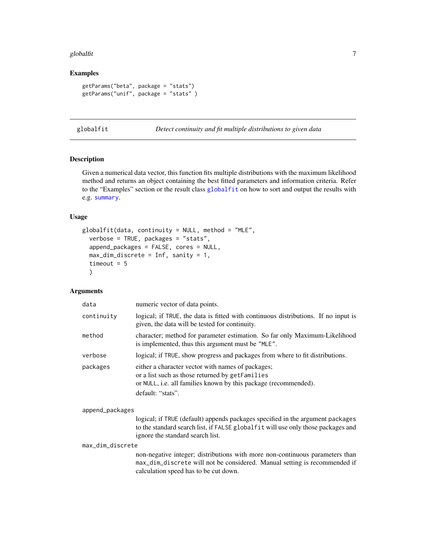#### <span id="page-6-0"></span>globalfit **7**

# Examples

```
getParams("beta", package = "stats")
getParams("unif", package = "stats" )
```
<span id="page-6-1"></span>globalfit *Detect continuity and fit multiple distributions to given data*

# Description

Given a numerical data vector, this function fits multiple distributions with the maximum likelihood method and returns an object containing the best fitted parameters and information criteria. Refer to the "Examples" section or the result class [globalfit](#page-8-1) on how to sort and output the results with e.g. [summary](#page-0-0).

# Usage

```
globalfit(data, continuity = NULL, method = "MLE",verbose = TRUE, packages = "stats",
  append_packages = FALSE, cores = NULL,
 max\_dim\_discrete = Inf, sanity = 1,
  timeout = 5)
```
# Arguments

| data       | numeric vector of data points.                                                                                                                                                               |
|------------|----------------------------------------------------------------------------------------------------------------------------------------------------------------------------------------------|
| continuity | logical; if TRUE, the data is fitted with continuous distributions. If no input is<br>given, the data will be tested for continuity.                                                         |
| method     | character; method for parameter estimation. So far only Maximum-Likelihood<br>is implemented, thus this argument must be "MLE".                                                              |
| verbose    | logical; if TRUE, show progress and packages from where to fit distributions.                                                                                                                |
| packages   | either a character vector with names of packages;<br>or a list such as those returned by getFamilies<br>or NULL, i.e. all families known by this package (recommended).<br>default: "stats". |
|            |                                                                                                                                                                                              |

append\_packages

logical; if TRUE (default) appends packages specified in the argument packages to the standard search list, if FALSE globalfit will use only those packages and ignore the standard search list.

max\_dim\_discrete

non-negative integer; distributions with more non-continuous parameters than max\_dim\_discrete will not be considered. Manual setting is recommended if calculation speed has to be cut down.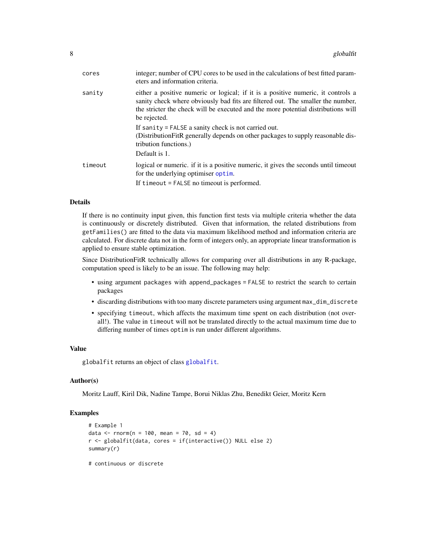<span id="page-7-0"></span>

| cores   | integer; number of CPU cores to be used in the calculations of best fitted param-<br>eters and information criteria.                                                                                                                                                     |
|---------|--------------------------------------------------------------------------------------------------------------------------------------------------------------------------------------------------------------------------------------------------------------------------|
| sanity  | either a positive numeric or logical; if it is a positive numeric, it controls a<br>sanity check where obviously bad fits are filtered out. The smaller the number,<br>the stricter the check will be executed and the more potential distributions will<br>be rejected. |
|         | If sanity = FALSE a sanity check is not carried out.<br>(Distribution FitR generally depends on other packages to supply reasonable dis-<br>tribution functions.)<br>Default is 1.                                                                                       |
| timeout | logical or numeric. if it is a positive numeric, it gives the seconds until timeout<br>for the underlying optimiser optim.                                                                                                                                               |
|         | If timeout = FALSE no timeout is performed.                                                                                                                                                                                                                              |

# Details

If there is no continuity input given, this function first tests via multiple criteria whether the data is continuously or discretely distributed. Given that information, the related distributions from getFamilies() are fitted to the data via maximum likelihood method and information criteria are calculated. For discrete data not in the form of integers only, an appropriate linear transformation is applied to ensure stable optimization.

Since DistributionFitR technically allows for comparing over all distributions in any R-package, computation speed is likely to be an issue. The following may help:

- using argument packages with append\_packages = FALSE to restrict the search to certain packages
- discarding distributions with too many discrete parameters using argument max\_dim\_discrete
- specifying timeout, which affects the maximum time spent on each distribution (not overall!). The value in timeout will not be translated directly to the actual maximum time due to differing number of times optim is run under different algorithms.

#### Value

globalfit returns an object of class [globalfit](#page-8-1).

# Author(s)

Moritz Lauff, Kiril Dik, Nadine Tampe, Borui Niklas Zhu, Benedikt Geier, Moritz Kern

# Examples

```
# Example 1
data \le - rnorm(n = 100, mean = 70, sd = 4)
r <- globalfit(data, cores = if(interactive()) NULL else 2)
summary(r)
```
# continuous or discrete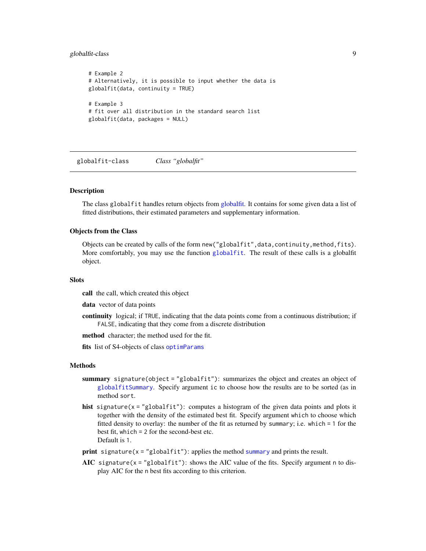# <span id="page-8-0"></span>globalfit-class 9

```
# Example 2
# Alternatively, it is possible to input whether the data is
globalfit(data, continuity = TRUE)
# Example 3
# fit over all distribution in the standard search list
globalfit(data, packages = NULL)
```
<span id="page-8-1"></span>globalfit-class *Class "globalfit"*

# Description

The class globalfit handles return objects from [globalfit.](#page-6-1) It contains for some given data a list of fitted distributions, their estimated parameters and supplementary information.

# Objects from the Class

Objects can be created by calls of the form new ("globalfit", data, continuity, method, fits). More comfortably, you may use the function [globalfit](#page-6-1). The result of these calls is a globalfit object.

# **Slots**

call the call, which created this object

data vector of data points

continuity logical; if TRUE, indicating that the data points come from a continuous distribution; if FALSE, indicating that they come from a discrete distribution

method character; the method used for the fit.

fits list of S4-objects of class [optimParams](#page-11-1)

#### Methods

- summary signature(object = "globalfit"): summarizes the object and creates an object of [globalfitSummary](#page-9-1). Specify argument ic to choose how the results are to be sorted (as in method sort.
- hist signature(x = "globalfit"): computes a histogram of the given data points and plots it together with the density of the estimated best fit. Specify argument which to choose which fitted density to overlay: the number of the fit as returned by summary; i.e. which = 1 for the best fit, which = 2 for the second-best etc. Default is 1.
- **print** signature( $x = "globalfit")$ : applies the method [summary](#page-0-0) and prints the result.
- AIC signature( $x =$ "globalfit"): shows the AIC value of the fits. Specify argument n to display AIC for the n best fits according to this criterion.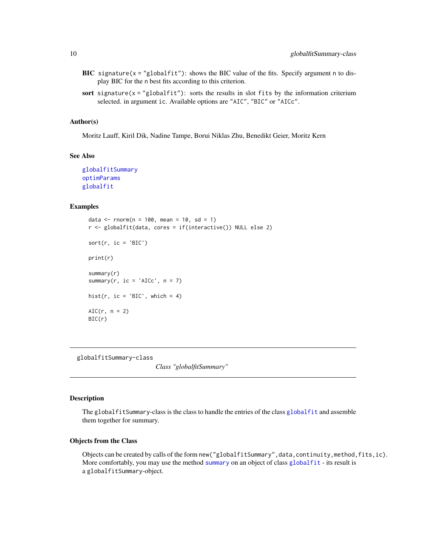- BIC signature( $x = "globalfit")$ : shows the BIC value of the fits. Specify argument n to display BIC for the n best fits according to this criterion.
- sort signature( $x = "globalfit")$ : sorts the results in slot fits by the information criterium selected. in argument ic. Available options are "AIC", "BIC" or "AICc".

# Author(s)

Moritz Lauff, Kiril Dik, Nadine Tampe, Borui Niklas Zhu, Benedikt Geier, Moritz Kern

#### See Also

[globalfitSummary](#page-9-1) [optimParams](#page-11-1) [globalfit](#page-6-1)

# Examples

```
data <- rnorm(n = 100, mean = 10, sd = 1)r <- globalfit(data, cores = if(interactive()) NULL else 2)
sort(r, ic = 'BIC')print(r)
summary(r)
summary(r, ic = 'AICc', n = 7)hist(r, ic = 'BIC', which = 4)
AIC(r, n = 2)BIC(r)
```
<span id="page-9-1"></span>globalfitSummary-class

*Class "globalfitSummary"*

#### Description

The globalfitSummary-class is the class to handle the entries of the class [globalfit](#page-8-1) and assemble them together for summary.

#### Objects from the Class

Objects can be created by calls of the form new ("globalfitSummary", data, continuity, method, fits, ic). More comfortably, you may use the method [summary](#page-0-0) on an object of class [globalfit](#page-8-1) - its result is a globalfitSummary-object.

<span id="page-9-0"></span>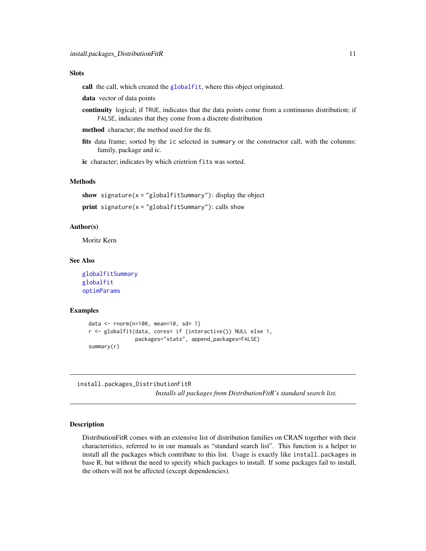#### <span id="page-10-0"></span>**Slots**

call the call, which created the [globalfit](#page-8-1), where this object originated.

data vector of data points

- continuity logical; if TRUE, indicates that the data points come from a continuous distribution; if FALSE, indicates that they come from a discrete distribution
- method character; the method used for the fit.
- fits data frame; sorted by the ic selected in summary or the constructor call, with the columns: family, package and ic.

ic character; indicates by which crietrion fits was sorted.

# Methods

show signature( $x =$ "globalfitSummary"): display the object  $print$  signature( $x = "globalfitSummary")$ : calls show

# Author(s)

Moritz Kern

# See Also

```
globalfitSummary
globalfit
optimParams
```
# Examples

```
data <- rnorm(n=100, mean=10, sd= 1)
r <- globalfit(data, cores= if (interactive()) NULL else 1,
               packages="stats", append_packages=FALSE)
summary(r)
```
<span id="page-10-1"></span>install.packages\_DistributionFitR

*Installs all packages from DistributionFitR's standard search list.*

#### Description

DistributionFitR comes with an extensive list of distribution families on CRAN together with their characteristics, referred to in our manuals as "standard search list". This function is a helper to install all the packages which contribute to this list. Usage is exactly like install.packages in base R, but without the need to specify which packages to install. If some packages fail to install, the others will not be affected (except dependencies).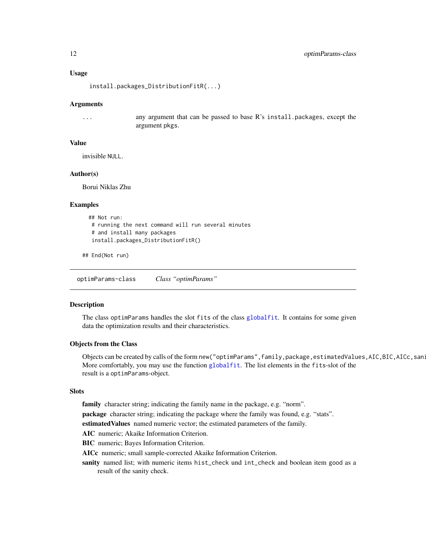#### <span id="page-11-0"></span>Usage

install.packages\_DistributionFitR(...)

# Arguments

... any argument that can be passed to base R's install.packages, except the argument pkgs.

#### Value

invisible NULL.

#### Author(s)

Borui Niklas Zhu

#### Examples

```
## Not run:
 # running the next command will run several minutes
 # and install many packages
 install.packages_DistributionFitR()
```
## End(Not run)

<span id="page-11-1"></span>optimParams-class *Class "optimParams"*

# **Description**

The class optimParams handles the slot fits of the class [globalfit](#page-8-1). It contains for some given data the optimization results and their characteristics.

# Objects from the Class

Objects can be created by calls of the form new("optimParams",family,package,estimatedValues,AIC,BIC,AICc,san: More comfortably, you may use the function [globalfit](#page-6-1). The list elements in the fits-slot of the result is a optimParams-object.

#### Slots

family character string; indicating the family name in the package, e.g. "norm".

package character string; indicating the package where the family was found, e.g. "stats".

estimatedValues named numeric vector; the estimated parameters of the family.

AIC numeric; Akaike Information Criterion.

BIC numeric; Bayes Information Criterion.

AICc numeric; small sample-corrected Akaike Information Criterion.

sanity named list; with numeric items hist\_check und int\_check and boolean item good as a result of the sanity check.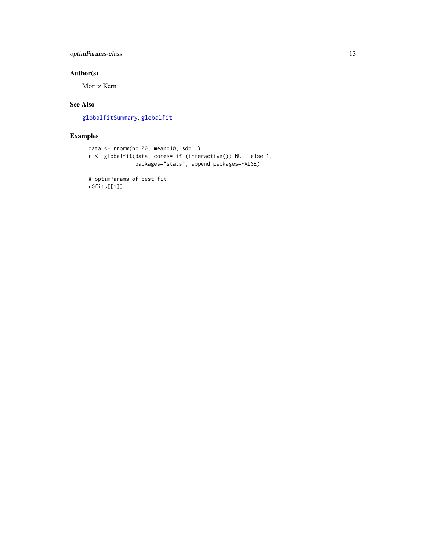# <span id="page-12-0"></span>optimParams-class 13

# Author(s)

Moritz Kern

# See Also

[globalfitSummary](#page-9-1), [globalfit](#page-6-1)

# Examples

```
data <- rnorm(n=100, mean=10, sd= 1)
r <- globalfit(data, cores= if (interactive()) NULL else 1,
              packages="stats", append_packages=FALSE)
```
# optimParams of best fit r@fits[[1]]